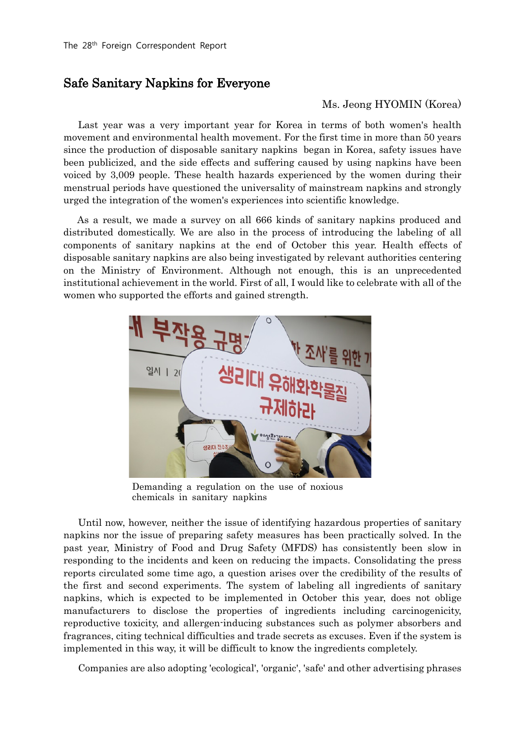## Safe Sanitary Napkins for Everyone

## Ms. Jeong HYOMIN (Korea)

Last year was a very important year for Korea in terms of both women's health movement and environmental health movement. For the first time in more than 50 years since the production of disposable sanitary napkins began in Korea, safety issues have been publicized, and the side effects and suffering caused by using napkins have been voiced by 3,009 people. These health hazards experienced by the women during their menstrual periods have questioned the universality of mainstream napkins and strongly urged the integration of the women's experiences into scientific knowledge.

As a result, we made a survey on all 666 kinds of sanitary napkins produced and distributed domestically. We are also in the process of introducing the labeling of all components of sanitary napkins at the end of October this year. Health effects of disposable sanitary napkins are also being investigated by relevant authorities centering on the Ministry of Environment. Although not enough, this is an unprecedented institutional achievement in the world. First of all, I would like to celebrate with all of the women who supported the efforts and gained strength.



Demanding a regulation on the use of noxious chemicals in sanitary napkins

Until now, however, neither the issue of identifying hazardous properties of sanitary napkins nor the issue of preparing safety measures has been practically solved. In the past year, Ministry of Food and Drug Safety (MFDS) has consistently been slow in responding to the incidents and keen on reducing the impacts. Consolidating the press reports circulated some time ago, a question arises over the credibility of the results of the first and second experiments. The system of labeling all ingredients of sanitary napkins, which is expected to be implemented in October this year, does not oblige manufacturers to disclose the properties of ingredients including carcinogenicity, reproductive toxicity, and allergen-inducing substances such as polymer absorbers and fragrances, citing technical difficulties and trade secrets as excuses. Even if the system is implemented in this way, it will be difficult to know the ingredients completely.

Companies are also adopting 'ecological', 'organic', 'safe' and other advertising phrases